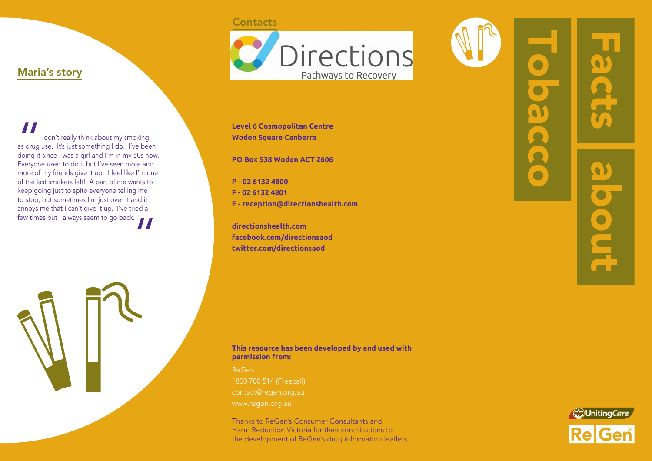## **Contacts**



**Level 6 Cosmopolitan Centre Woden Square Canberra**

**PO Box 538 Woden ACT 2606**

**P - 02 6132 4800 F - 02 6132 4801 E - reception@directionshealth.com**

**directionshealth.com facebook.com/directionsaod twitter.com/directionsaod**

# $\bullet$ O O  $\bullet$



I don't really think about my smoking as drug use. It's just something I do. I've been doing it since I was a girl and I'm in my 50s now. Everyone used to do it but I've seen more and more of my friends give it up. I feel like I'm one of the last smokers left! A part of me wants to keep going just to spite everyone telling me to stop, but sometimes I'm just over it and it annoys me that I can't give it up. I've tried a annoys me mach can cyntered political few times but I always seem to go back.

"

Maria's story

#### **This resource has been developed by and used with permission from:**

ReGen 1800 700 514 (Freecall)

Thanks to ReGen's Consumer Consultants and Harm Reduction Victoria for their contributions to the development of ReGen's drug information leaflets.



Æ